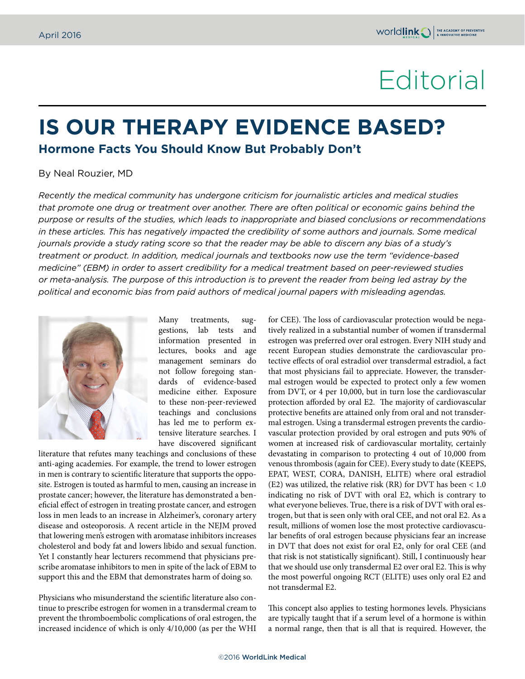## Editorial

## **IS OUR THERAPY EVIDENCE BASED?**

**Hormone Facts You Should Know But Probably Don't**

## By Neal Rouzier, MD

*Recently the medical community has undergone criticism for journalistic articles and medical studies that promote one drug or treatment over another. There are often political or economic gains behind the purpose or results of the studies, which leads to inappropriate and biased conclusions or recommendations in these articles. This has negatively impacted the credibility of some authors and journals. Some medical journals provide a study rating score so that the reader may be able to discern any bias of a study's treatment or product. In addition, medical journals and textbooks now use the term "evidence-based medicine" (EBM) in order to assert credibility for a medical treatment based on peer-reviewed studies or meta-analysis. The purpose of this introduction is to prevent the reader from being led astray by the political and economic bias from paid authors of medical journal papers with misleading agendas.*



Many treatments, suggestions, lab tests and information presented in lectures, books and age management seminars do not follow foregoing standards of evidence-based medicine either. Exposure to these non-peer-reviewed teachings and conclusions has led me to perform extensive literature searches. I have discovered significant

literature that refutes many teachings and conclusions of these anti-aging academies. For example, the trend to lower estrogen in men is contrary to scientific literature that supports the opposite. Estrogen is touted as harmful to men, causing an increase in prostate cancer; however, the literature has demonstrated a beneficial effect of estrogen in treating prostate cancer, and estrogen loss in men leads to an increase in Alzheimer's, coronary artery disease and osteoporosis. A recent article in the NEJM proved that lowering men's estrogen with aromatase inhibitors increases cholesterol and body fat and lowers libido and sexual function. Yet I constantly hear lecturers recommend that physicians prescribe aromatase inhibitors to men in spite of the lack of EBM to support this and the EBM that demonstrates harm of doing so.

Physicians who misunderstand the scientific literature also continue to prescribe estrogen for women in a transdermal cream to prevent the thromboembolic complications of oral estrogen, the increased incidence of which is only 4/10,000 (as per the WHI for CEE). The loss of cardiovascular protection would be negatively realized in a substantial number of women if transdermal estrogen was preferred over oral estrogen. Every NIH study and recent European studies demonstrate the cardiovascular protective effects of oral estradiol over transdermal estradiol, a fact that most physicians fail to appreciate. However, the transdermal estrogen would be expected to protect only a few women from DVT, or 4 per 10,000, but in turn lose the cardiovascular protection afforded by oral E2. The majority of cardiovascular protective benefits are attained only from oral and not transdermal estrogen. Using a transdermal estrogen prevents the cardiovascular protection provided by oral estrogen and puts 90% of women at increased risk of cardiovascular mortality, certainly devastating in comparison to protecting 4 out of 10,000 from venous thrombosis (again for CEE). Every study to date (KEEPS, EPAT, WEST, CORA, DANISH, ELITE) where oral estradiol (E2) was utilized, the relative risk (RR) for DVT has been < 1.0 indicating no risk of DVT with oral E2, which is contrary to what everyone believes. True, there is a risk of DVT with oral estrogen, but that is seen only with oral CEE, and not oral E2. As a result, millions of women lose the most protective cardiovascular benefits of oral estrogen because physicians fear an increase in DVT that does not exist for oral E2, only for oral CEE (and that risk is not statistically significant). Still, I continuously hear that we should use only transdermal E2 over oral E2. This is why the most powerful ongoing RCT (ELITE) uses only oral E2 and not transdermal E2.

This concept also applies to testing hormones levels. Physicians are typically taught that if a serum level of a hormone is within a normal range, then that is all that is required. However, the